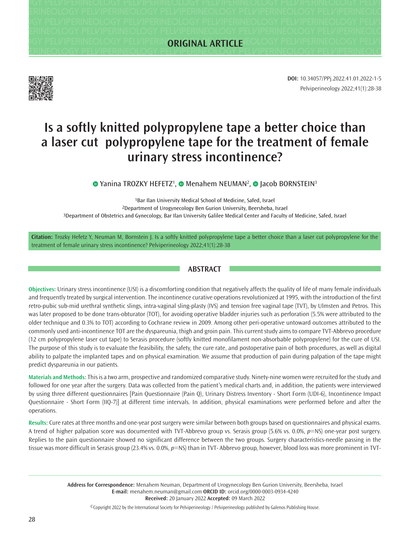**Pelviperineology Pelviperineology Pelviperineology Pelviperineology Pelviperineology Pelviperineology Pelviperineology Pelviperineology Pelviperineology Pelviperineology Pelviperineology Pelviperineology Pelviperineology Pelviperineology Pelviperineology Pelviperineology Pelviperineology Pelviperineology Pelviperineology Pelviperineology Pelviperineology Pelviperineology Pelviperineology Pelviperineology Pelviperineology Pelviperineology Pelviperineology Pelviperineology Pelviperineology Pelviperineology Pelviperineology Pelviperineology Pelviperineology Pelviperineology Pelviperineology Pelviperineology Pelviperineology Pelviperineology Pelviperineology Pelviperineology Pelviperineology Pelviperineology ORIGINAL ARTICLE**



Pelviperineology 2022;41(1):28-38 **DOI:** 10.34057/PPj.2022.41.01.2022-1-5

# **Is a softly knitted polypropylene tape a better choice than a laser cut polypropylene tape for the treatment of female urinary stress incontinence?**

YaninaTROZKY HEFETZ<sup>1</sup>, © Menahem NEUMAN<sup>2</sup>, © [J](https://orcid.org/0000-0003-1932-5270)acob BORNSTEIN<sup>3</sup>

1Bar Ilan University Medical School of Medicine, Safed, Israel 2Department of Urogynecology Ben Gurion University, Beersheba, Israel 3Department of Obstetrics and Gynecology, Bar Ilan University Galilee Medical Center and Faculty of Medicine, Safed, Israel

**Citation:** Trozky Hefetz Y, Neuman M, Bornstein J. Is a softly knitted polypropylene tape a better choice than a laser cut polypropylene for the treatment of female urinary stress incontinence? Pelviperineology 2022;41(1):28-38

# **ABSTRACT**

**Objectives:** Urinary stress incontinence (USI) is a discomforting condition that negatively affects the quality of life of many female individuals and frequently treated by surgical intervention. The incontinence curative operations revolutionized at 1995, with the introduction of the first retro-pubic sub-mid urethral synthetic slings, intra-vaginal sling-plasty (IVS) and tension free vaginal tape (TVT), by Ulmsten and Petros. This was later proposed to be done trans-obturator (TOT), for avoiding operative bladder injuries such as perforation (5.5% were attributed to the older technique and 0.3% to TOT) according to Cochrane review in 2009. Among other peri-operative untoward outcomes attributed to the commonly used anti-incontinence TOT are the dyspareunia, thigh and groin pain. This current study aims to compare TVT-Abbrevo procedure (12 cm polypropylene laser cut tape) to Serasis procedure (softly knitted monofilament non-absorbable polypropylene) for the cure of USI. The purpose of this study is to evaluate the feasibility, the safety, the cure rate, and postoperative pain of both procedures, as well as digital ability to palpate the implanted tapes and on physical examination. We assume that production of pain during palpation of the tape might predict dyspareunia in our patients.

**Materials and Methods:** This is a two arm, prospective and randomized comparative study. Ninety-nine women were recruited for the study and followed for one year after the surgery. Data was collected from the patient's medical charts and, in addition, the patients were interviewed by using three different questionnaires [Pain Questionnaire (Pain Q), Urinary Distress Inventory - Short Form (UDI-6), Incontinence Impact Questionnaire - Short Form (IIQ-7)] at different time intervals. In addition, physical examinations were performed before and after the operations.

**Results:** Cure rates at three months and one-year post surgery were similar between both groups based on questionnaires and physical exams. A trend of higher palpation score was documented with TVT-Abbrevo group vs. Serasis group (5.6% vs. 0.0%, *p*=NS) one-year post surgery. Replies to the pain questionnaire showed no significant difference between the two groups. Surgery characteristics-needle passing in the tissue was more difficult in Serasis group (23.4% vs. 0.0%, *p*=NS) than in TVT- Abbrevo group, however, blood loss was more prominent in TVT-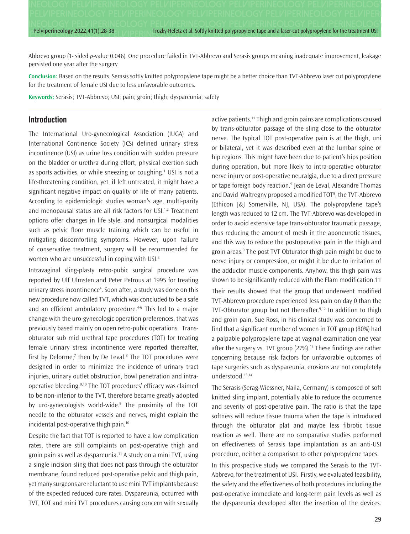Pelviperineology 2022;41(1):28-38 Trocky-Hefetz et al. Softly knitted polypropylene tape and a laser-cut polypropylene for the treatment USI

Abbrevo group (1- sided *p*-value 0.046). One procedure failed in TVT-Abbrevo and Serasis groups meaning inadequate improvement, leakage persisted one year after the surgery.

**Conclusion:** Based on the results, Serasis softly knitted polypropylene tape might be a better choice than TVT-Abbrevo laser cut polypropylene for the treatment of female USI due to less unfavorable outcomes.

**Keywords:** Serasis; TVT-Abbrevo; USI; pain; groin; thigh; dyspareunia; safety

#### **Introduction**

The International Uro-gynecological Association (IUGA) and International Continence Society (ICS) defined urinary stress incontinence (USI) as urine loss condition with sudden pressure on the bladder or urethra during effort, physical exertion such as sports activities, or while sneezing or coughing.<sup>1</sup> USI is not a life-threatening condition, yet, if left untreated, it might have a significant negative impact on quality of life of many patients. According to epidemiologic studies woman's age, multi-parity and menopausal status are all risk factors for USI.<sup>1,2</sup> Treatment options offer changes in life style, and nonsurgical modalities such as pelvic floor muscle training which can be useful in mitigating discomforting symptoms. However, upon failure of conservative treatment, surgery will be recommended for women who are unsuccessful in coping with USI.3

Intravaginal sling-plasty retro-pubic surgical procedure was reported by Ulf Ulmsten and Peter Petrous at 1995 for treating urinary stress incontinence4 . Soon after, a study was done on this new procedure now called TVT, which was concluded to be a safe and an efficient ambulatory procedure.<sup>4-6</sup> This led to a major change with the uro-gynecologic operation preferences, that was previously based mainly on open retro-pubic operations. Transobturator sub mid urethral tape procedures (TOT) for treating female urinary stress incontinence were reported thereafter, first by Delorme,<sup>7</sup> then by De Leval.<sup>8</sup> The TOT procedures were designed in order to minimize the incidence of urinary tract injuries, urinary outlet obstruction, bowl penetration and intraoperative bleeding.9,10 The TOT procedures' efficacy was claimed to be non-inferior to the TVT, therefore became greatly adopted by uro-gynecologists world-wide.<sup>9</sup> The proximity of the TOT needle to the obturator vessels and nerves, might explain the incidental post-operative thigh pain.10

Despite the fact that TOT is reported to have a low complication rates, there are still complaints on post-operative thigh and groin pain as well as dyspareunia.11 A study on a mini TVT, using a single incision sling that does not pass through the obturator membrane, found reduced post-operative pelvic and thigh pain, yet many surgeons are reluctant to use mini TVT implants because of the expected reduced cure rates. Dyspareunia, occurred with TVT, TOT and mini TVT procedures causing concern with sexually active patients.11 Thigh and groin pains are complications caused by trans-obturator passage of the sling close to the obturator nerve. The typical TOT post-operative pain is at the thigh, uni or bilateral, yet it was described even at the lumbar spine or hip regions. This might have been due to patient's hips position during operation, but more likely to intra-operative obturator nerve injury or post-operative neuralgia, due to a direct pressure or tape foreign body reaction.<sup>9</sup> Jean de Leval, Alexandre Thomas and David Waltregny proposed a modified TOT9 , the TVT-Abbrevo (Ethicon J&J Somerville, NJ, USA). The polypropylene tape's length was reduced to 12 cm. The TVT-Abbrevo was developed in order to avoid extensive tape trans-obturator traumatic passage, thus reducing the amount of mesh in the aponeurotic tissues, and this way to reduce the postoperative pain in the thigh and groin areas.9 The post TVT Obturator thigh pain might be due to nerve injury or compression, or might it be due to irritation of the adductor muscle components. Anyhow, this thigh pain was shown to be significantly reduced with the Flam modification.11 Their results showed that the group that underwent modified TVT-Abbrevo procedure experienced less pain on day 0 than the TVT-Obturator group but not thereafter.<sup>9,12</sup> In addition to thigh and groin pain, Sue Ross, in his clinical study was concerned to find that a significant number of women in TOT group (80%) had a palpable polypropylene tape at vaginal examination one year after the surgery vs. TVT group  $(27%)$ .<sup>13</sup> These findings are rather concerning because risk factors for unfavorable outcomes of tape surgeries such as dyspareunia, erosions are not completely understood.13,14

The Serasis (Serag-Wiessner, Naila, Germany) is composed of soft knitted sling implant, potentially able to reduce the occurrence and severity of post-operative pain. The ratio is that the tape softness will reduce tissue trauma when the tape is introduced through the obturator plat and maybe less fibrotic tissue reaction as well. There are no comparative studies performed on effectiveness of Serasis tape implantation as an anti-USI procedure, neither a comparison to other polypropylene tapes.

In this prospective study we compared the Serasis to the TVT-Abbrevo, for the treatment of USI. Firstly, we evaluated feasibility, the safety and the effectiveness of both procedures including the post-operative immediate and long-term pain levels as well as the dyspareunia developed after the insertion of the devices.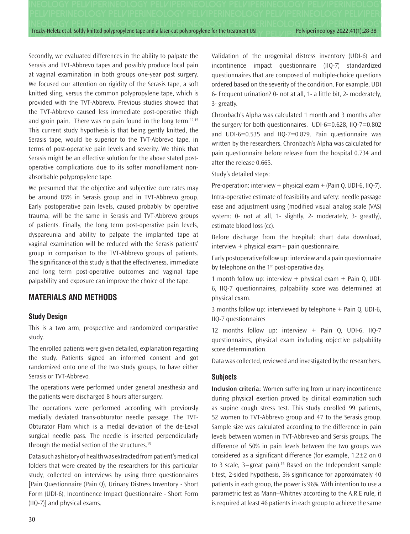Secondly, we evaluated differences in the ability to palpate the Serasis and TVT-Abbrevo tapes and possibly produce local pain at vaginal examination in both groups one-year post surgery. We focused our attention on rigidity of the Serasis tape, a soft knitted sling, versus the common polypropylene tape, which is provided with the TVT-Abbrevo. Previous studies showed that the TVT-Abbrevo caused less immediate post-operative thigh and groin pain. There was no pain found in the long term.<sup>12,15</sup> This current study hypothesis is that being gently knitted, the Serasis tape, would be superior to the TVT-Abbrevo tape, in terms of post-operative pain levels and severity. We think that Serasis might be an effective solution for the above stated postoperative complications due to its softer monofilament nonabsorbable polypropylene tape.

We presumed that the objective and subjective cure rates may be around 85% in Serasis group and in TVT-Abbrevo group. Early postoperative pain levels, caused probably by operative trauma, will be the same in Serasis and TVT-Abbrevo groups of patients. Finally, the long term post-operative pain levels, dyspareunia and ability to palpate the implanted tape at vaginal examination will be reduced with the Serasis patients' group in comparison to the TVT-Abbrevo groups of patients. The significance of this study is that the effectiveness, immediate and long term post-operative outcomes and vaginal tape palpability and exposure can improve the choice of the tape.

## **MATERIALS AND METHODS**

#### **Study Design**

This is a two arm, prospective and randomized comparative study.

The enrolled patients were given detailed, explanation regarding the study. Patients signed an informed consent and got randomized onto one of the two study groups, to have either Serasis or TVT-Abbrevo.

The operations were performed under general anesthesia and the patients were discharged 8 hours after surgery.

The operations were performed according with previously medially deviated trans-obturator needle passage. The TVT-Obturator Flam which is a medial deviation of the de-Leval surgical needle pass. The needle is inserted perpendicularly through the medial section of the structures.<sup>15</sup>

Data such as history of health was extracted from patient's medical folders that were created by the researchers for this particular study, collected on interviews by using three questionnaires [Pain Questionnaire (Pain Q), Urinary Distress Inventory - Short Form (UDI-6), Incontinence Impact Questionnaire - Short Form (IIQ-7)] and physical exams.

Validation of the urogenital distress inventory (UDI‐6) and incontinence impact questionnaire (IIQ‐7) standardized questionnaires that are composed of multiple-choice questions ordered based on the severity of the condition. For example, UDI 6- Frequent urination? 0- not at all, 1- a little bit, 2- moderately, 3- greatly.

Chronbach's Alpha was calculated 1 month and 3 months after the surgery for both questionnaires. UDI-6=0.628, IIQ-7=0.802 and UDI-6=0.535 and IIQ-7=0.879. Pain questionnaire was written by the researchers. Chronbach's Alpha was calculated for pain questionnaire before release from the hospital 0.734 and after the release 0.665.

Study's detailed steps:

estimate blood loss (cc).

Pre-operation: interview + physical exam + (Pain Q, UDI-6, IIQ-7). Intra-operative estimate of feasibility and safety: needle passage ease and adjustment using (modified visual analog scale (VAS) system: 0- not at all, 1- slightly, 2- moderately, 3- greatly),

Before discharge from the hospital: chart data download, interview + physical exam+ pain questionnaire.

Early postoperative follow up: interview and a pain questionnaire by telephone on the  $1<sup>st</sup>$  post-operative day.

1 month follow up: interview + physical exam + Pain Q, UDI-6, IIQ-7 questionnaires, palpability score was determined at physical exam.

3 months follow up: interviewed by telephone + Pain Q, UDI-6, IIQ-7 questionnaires

12 months follow up: interview + Pain Q, UDI-6, IIQ-7 questionnaires, physical exam including objective palpability score determination.

Data was collected, reviewed and investigated by the researchers.

#### **Subjects**

**Inclusion criteria:** Women suffering from urinary incontinence during physical exertion proved by clinical examination such as supine cough stress test. This study enrolled 99 patients, 52 women to TVT-Abbrevo group and 47 to the Serasis group. Sample size was calculated according to the difference in pain levels between women in TVT-Abbreveo and Sersis groups. The difference of 50% in pain levels between the two groups was considered as a significant difference (for example,  $1.2\pm 2$  on 0 to 3 scale,  $3 = \text{great pain}$ .<sup>15</sup> Based on the Independent sample t-test, 2-sided hypothesis, 5% significance for approximately 40 patients in each group, the power is 96%. With intention to use a parametric test as Mann–Whitney according to the A.R.E rule, it is required at least 46 patients in each group to achieve the same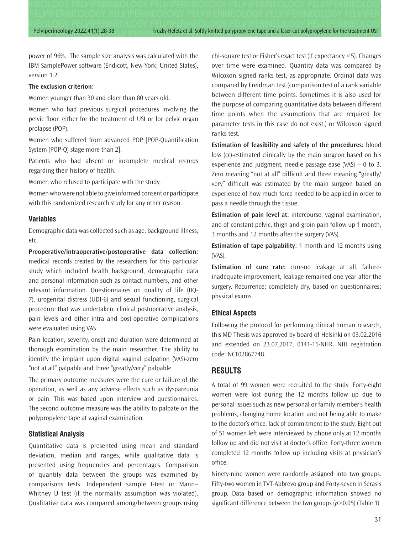Pelviperineology 2022;41(1):28-38 Trocky-Hefetz et al. Softly knitted polypropylene tape and a laser-cut polypropylene for the treatment USI

power of 96%. The sample size analysis was calculated with the IBM SamplePower software (Endicott, New York, United States), version 1.2.

#### **The exclusion criterion:**

Women younger than 30 and older than 80 years old.

Women who had previous surgical procedures involving the pelvic floor, either for the treatment of USI or for pelvic organ prolapse (POP).

Women who suffered from advanced POP [POP-Quantification System (POP-Q) stage more than 2].

Patients who had absent or incomplete medical records regarding their history of health.

Women who refused to participate with the study.

Women who were not able to give informed consent or participate with this randomized research study for any other reason.

#### **Variables**

Demographic data was collected such as age, background illness, etc.

**Preoperative/intraoperative/postoperative data collection:** medical records created by the researchers for this particular study which included health background, demographic data and personal information such as contact numbers, and other relevant information. Questionnaires on quality of life (IIQ-7), urogenital distress (UDI-6) and sexual functioning, surgical procedure that was undertaken, clinical postoperative analysis, pain levels and other intra and post-operative complications were evaluated using VAS.

Pain location, severity, onset and duration were determined at thorough examination by the main researcher. The ability to identify the implant upon digital vaginal palpation (VAS)-zero "not at all" palpable and three "greatly/very" palpable.

The primary outcome measures were the cure or failure of the operation, as well as any adverse effects such as dyspareunia or pain. This was based upon interview and questionnaires. The second outcome measure was the ability to palpate on the polypropylene tape at vaginal examination.

### **Statistical Analysis**

Quantitative data is presented using mean and standard deviation, median and ranges, while qualitative data is presented using frequencies and percentages. Comparison of quantity data between the groups was examined by comparisons tests: Independent sample t-test or Mann– Whitney U test (if the normality assumption was violated). Qualitative data was compared among/between groups using chi-square test or Fisher's exact test (if expectancy <5). Changes over time were examined. Quantity data was compared by Wilcoxon signed ranks test, as appropriate. Ordinal data was compared by Freidman test (comparison test of a rank variable between different time points. Sometimes it is also used for the purpose of comparing quantitative data between different time points when the assumptions that are required for parameter tests in this case do not exist.) or Wilcoxon signed ranks test.

**Estimation of feasibility and safety of the procedures:** blood loss (cc)-estimated clinically by the main surgeon based on his experience and judgment, needle passage ease  $(VAS) - 0$  to 3. Zero meaning "not at all" difficult and three meaning "greatly/ very" difficult was estimated by the main surgeon based on experience of how much force needed to be applied in order to pass a needle through the tissue.

**Estimation of pain level at:** intercourse, vaginal examination, and of constant pelvic, thigh and groin pain follow up 1 month, 3 months and 12 months after the surgery (VAS).

**Estimation of tape palpability:** 1 month and 12 months using (VAS).

**Estimation of cure rate:** cure-no leakage at all, failureinadequate improvement, leakage remained one year after the surgery. Recurrence; completely dry, based on questionnaires; physical exams.

#### **Ethical Aspects**

Following the protocol for performing clinical human research, this MD Thesis was approved by board of Helsinki on 03.02.2016 and extended on 23.07.2017, 0141-15-NHR. NIH registration code: NCT02867748.

## **RESULTS**

A total of 99 women were recruited to the study. Forty-eight women were lost during the 12 months follow up due to personal issues such as new personal or family member's health problems, changing home location and not being able to make to the doctor's office, lack of commitment to the study. Eight out of 51 women left were interviewed by phone only at 12 months follow up and did not visit at doctor's office. Forty-three women completed 12 months follow up including visits at physician's office.

Ninety-nine women were randomly assigned into two groups. Fifty-two women in TVT-Abbrevo group and Forty-seven in Serasis group. Data based on demographic information showed no significant difference between the two groups (*p*>0.05) (Table 1).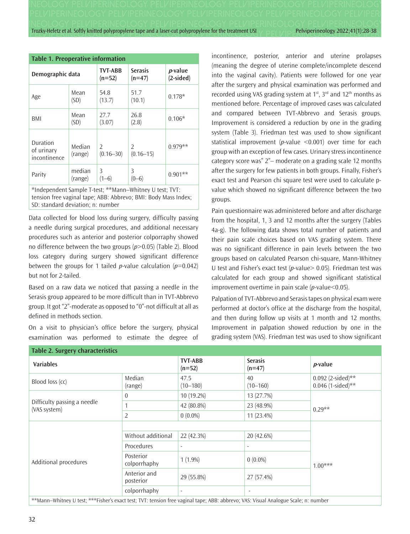| <b>Table 1. Preoperative information</b> |                   |                            |                            |                                |  |  |  |  |  |  |
|------------------------------------------|-------------------|----------------------------|----------------------------|--------------------------------|--|--|--|--|--|--|
| Demographic data                         |                   | <b>TVT-ABB</b><br>$(n=52)$ | <b>Serasis</b><br>$(n=47)$ | <i>p</i> -value<br>$(2-sided)$ |  |  |  |  |  |  |
| Age                                      | Mean<br>(SD)      | 54.8<br>(13.7)             | 51.7<br>(10.1)             | $0.178*$                       |  |  |  |  |  |  |
| BMI                                      | Mean<br>(SD)      | 27.7<br>(3.07)             | 26.8<br>(2.8)              | $0.106*$                       |  |  |  |  |  |  |
| Duration<br>of urinary<br>incontinence   | Median<br>(range) | 2<br>$(0.16 - 30)$         | 2<br>$(0.16 - 15)$         | $0.979**$                      |  |  |  |  |  |  |
| Parity                                   | median<br>(range) | 3<br>(1–6)                 | 3                          | $0.901**$                      |  |  |  |  |  |  |

\*Independent Sample T-test; \*\*Mann–Whitney U test; TVT: tension free vaginal tape; ABB: Abbrevo; BMI: Body Mass Index; SD: standard deviation; n: number

Data collected for blood loss during surgery, difficulty passing a needle during surgical procedures, and additional necessary procedures such as anterior and posterior colporraphy showed no difference between the two groups (*p*>0.05) (Table 2). Blood loss category during surgery showed significant difference between the groups for 1 tailed *p*-value calculation  $(p=0.042)$ but not for 2-tailed.

Based on a raw data we noticed that passing a needle in the Serasis group appeared to be more difficult than in TVT-Abbrevo group. It got "2"-moderate as opposed to "0"-not difficult at all as defined in methods section.

On a visit to physician's office before the surgery, physical examination was performed to estimate the degree of incontinence, posterior, anterior and uterine prolapses (meaning the degree of uterine complete/incomplete descend into the vaginal cavity). Patients were followed for one year after the surgery and physical examination was performed and recorded using VAS grading system at  $1<sup>st</sup>$ ,  $3<sup>rd</sup>$  and  $12<sup>th</sup>$  months as mentioned before. Percentage of improved cases was calculated and compared between TVT-Abbrevo and Serasis groups. Improvement is considered a reduction by one in the grading system (Table 3). Friedman test was used to show significant statistical improvement (*p*-value <0.001) over time for each group with an exception of few cases. Urinary stress incontinence category score was" 2"– moderate on a grading scale 12 months after the surgery for few patients in both groups. Finally, Fisher's exact test and Pearson chi square test were used to calculate pvalue which showed no significant difference between the two groups.

Pain questionnaire was administered before and after discharge from the hospital, 1, 3 and 12 months after the surgery (Tables 4a-g). The following data shows total number of patients and their pain scale choices based on VAS grading system. There was no significant difference in pain levels between the two groups based on calculated Pearson chi-square, Mann-Whitney U test and Fisher's exact test (*p*-value> 0.05). Friedman test was calculated for each group and showed significant statistical improvement overtime in pain scale (*p*-value<0.05).

Palpation of TVT-Abbrevo and Serasis tapes on physical exam were performed at doctor's office at the discharge from the hospital, and then during follow up visits at 1 month and 12 months. Improvement in palpation showed reduction by one in the grading system (VAS). Friedman test was used to show significant

| <b>Variables</b>                            |                           | <b>TVT-ABB</b><br>$(n=52)$ | <b>Serasis</b><br>$(n=47)$ | <i>p</i> -value                          |  |  |  |
|---------------------------------------------|---------------------------|----------------------------|----------------------------|------------------------------------------|--|--|--|
| Blood loss (cc)                             | Median<br>(range)         | 47.5<br>$(10 - 180)$       | 40<br>$(10 - 160)$         | 0.092 (2-sided)**<br>$0.046$ (1-sided)** |  |  |  |
|                                             | $\theta$                  | 10 (19.2%)                 | 13 (27.7%)                 |                                          |  |  |  |
| Difficulty passing a needle<br>(VAS system) |                           | 42 (80.8%)                 | 23 (48.9%)                 | $0.29**$                                 |  |  |  |
|                                             | 2                         | $0(0.0\%)$                 | 11 (23.4%)                 |                                          |  |  |  |
|                                             |                           |                            |                            |                                          |  |  |  |
|                                             | Without additional        | 22 (42.3%)                 | 20 (42.6%)                 |                                          |  |  |  |
|                                             | Procedures                | $\overline{\phantom{a}}$   |                            |                                          |  |  |  |
| Additional procedures                       | Posterior<br>colporrhaphy | $1(1.9\%)$                 | $0(0.0\%)$                 | $1.00***$                                |  |  |  |
|                                             | Anterior and<br>posterior | 29 (55.8%)                 | 27 (57.4%)                 |                                          |  |  |  |
|                                             | colporrhaphy              | $\overline{\phantom{a}}$   | $\overline{\phantom{a}}$   |                                          |  |  |  |

\*\*Mann–Whitney U test; \*\*\*Fisher's exact test; TVT: tension free vaginal tape; ABB: abbrevo; VAS: Visual Analogue Scale; n: number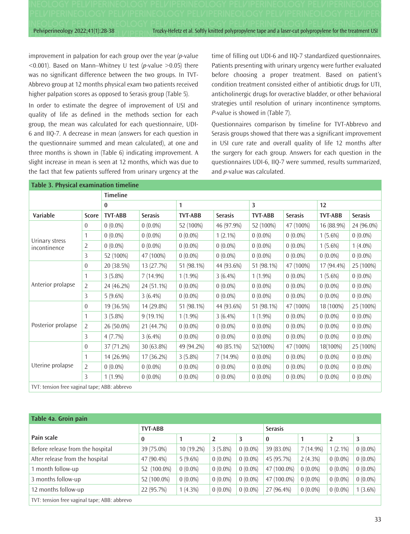Pelviperineology 2022;41(1):28-38 TROZKY-Hefetz et al. Softly knitted polypropylene tape and a laser-cut polypropylene for the treatment USI

improvement in palpation for each group over the year (*p*-value <0.001). Based on Mann–Whitney U test (*p*-value >0.05) there was no significant difference between the two groups. In TVT-Abbrevo group at 12 months physical exam two patients received higher palpation scores as opposed to Serasis group (Table 5).

In order to estimate the degree of improvement of USI and quality of life as defined in the methods section for each group, the mean was calculated for each questionnaire, UDI-6 and IIQ-7. A decrease in mean (answers for each question in the questionnaire summed and mean calculated), at one and three months is shown in (Table 6) indicating improvement. A slight increase in mean is seen at 12 months, which was due to the fact that few patients suffered from urinary urgency at the time of filling out UDI-6 and IIQ-7 standardized questionnaires. Patients presenting with urinary urgency were further evaluated before choosing a proper treatment. Based on patient's condition treatment consisted either of antibiotic drugs for UTI, anticholinergic drugs for overactive bladder, or other behavioral strategies until resolution of urinary incontinence symptoms. *P*-value is showed in (Table 7).

Questionnaires comparison by timeline for TVT-Abbrevo and Serasis groups showed that there was a significant improvement in USI cure rate and overall quality of life 12 months after the surgery for each group. Answers for each question in the questionnaires UDI-6, IIQ-7 were summed, results summarized, and *p*-value was calculated.

|                                |                | <b>Timeline</b> |                |                |                |                |                |                |                |
|--------------------------------|----------------|-----------------|----------------|----------------|----------------|----------------|----------------|----------------|----------------|
|                                |                | 0               |                | 1              |                | 3              |                | 12             |                |
| Variable                       | Score          | <b>TVT-ABB</b>  | <b>Serasis</b> | <b>TVT-ABB</b> | <b>Serasis</b> | <b>TVT-ABB</b> | <b>Serasis</b> | <b>TVT-ABB</b> | <b>Serasis</b> |
|                                | $\overline{0}$ | $0(0.0\%)$      | $0(0.0\%)$     | 52 (100%)      | 46 (97.9%)     | 52 (100%)      | 47 (100%)      | 16 (88.9%)     | 24 (96.0%)     |
|                                | 1              | $0(0.0\%)$      | $0(0.0\%)$     | $0(0.0\%)$     | $1(2.1\%)$     | $0(0.0\%)$     | $0(0.0\%)$     | $1(5.6\%)$     | $0(0.0\%)$     |
| Urinary stress<br>incontinence | $\overline{2}$ | $0(0.0\%)$      | $0(0.0\%)$     | $0(0.0\%)$     | $0(0.0\%)$     | $0(0.0\%)$     | $0(0.0\%)$     | $1(5.6\%)$     | $1(4.0\%)$     |
|                                | 3              | 52 (100%)       | 47 (100%)      | $0(0.0\%)$     | $0(0.0\%)$     | $0(0.0\%)$     | $0(0.0\%)$     | $0(0.0\%)$     | $0(0.0\%)$     |
|                                | $\overline{0}$ | 20 (38.5%)      | 13 (27.7%)     | 51 (98.1%)     | 44 (93.6%)     | 51 (98.1%)     | 47 (100%)      | 17 (94.4%)     | 25 (100%)      |
|                                | 1              | $3(5.8\%)$      | 7 (14.9%)      | $1(1.9\%)$     | $3(6.4\%)$     | $1(1.9\%)$     | $0(0.0\%)$     | $1(5.6\%)$     | $0(0.0\%)$     |
| Anterior prolapse              | 2              | 24 (46.2%)      | 24 (51.1%)     | $0(0.0\%)$     | $0(0.0\%)$     | $0(0.0\%)$     | $0(0.0\%)$     | $0(0.0\%)$     | $0(0.0\%)$     |
|                                | 3              | $5(9.6\%)$      | $3(6.4\%)$     | $0(0.0\%)$     | $0(0.0\%)$     | $0(0.0\%)$     | $0(0.0\%)$     | $0(0.0\%)$     | $0(0.0\%)$     |
|                                | $\overline{0}$ | 19 (36.5%)      | 14 (29.8%)     | 51 (98.1%)     | 44 (93.6%)     | 51 (98.1%)     | 47 (100%)      | 18 (100%)      | 25 (100%)      |
|                                | 1              | $3(5.8\%)$      | $9(19.1\%)$    | $1(1.9\%)$     | $3(6.4\%)$     | $1(1.9\%)$     | $0(0.0\%)$     | $0(0.0\%)$     | $0(0.0\%)$     |
| Posterior prolapse             | $\overline{2}$ | 26 (50.0%)      | 21 (44.7%)     | $0(0.0\%)$     | $0(0.0\%)$     | $0(0.0\%)$     | $0(0.0\%)$     | $0(0.0\%)$     | $0(0.0\%)$     |
|                                | 3              | 4(7.7%)         | $3(6.4\%)$     | $0(0.0\%)$     | $0(0.0\%)$     | $0(0.0\%)$     | $0(0.0\%)$     | $0(0.0\%)$     | $0(0.0\%)$     |
|                                | $\overline{0}$ | 37 (71.2%)      | 30 (63.8%)     | 49 (94.2%)     | 40 (85.1%)     | 52(100%)       | 47 (100%)      | 18(100%)       | 25 (100%)      |
|                                | 1              | 14 (26.9%)      | 17 (36.2%)     | $3(5.8\%)$     | 7 (14.9%)      | $0(0.0\%)$     | $0(0.0\%)$     | $0(0.0\%)$     | $0(0.0\%)$     |
| Uterine prolapse               | $\overline{2}$ | $0(0.0\%)$      | $0(0.0\%)$     | $0(0.0\%)$     | $0(0.0\%)$     | $0(0.0\%)$     | $0(0.0\%)$     | $0(0.0\%)$     | $0(0.0\%)$     |
|                                | 3              | $1(1.9\%)$      | $0(0.0\%)$     | $0(0.0\%)$     | $0(0.0\%)$     | $0(0.0\%)$     | $0(0.0\%)$     | $0(0.0\%)$     | $0(0.0\%)$     |

| Table 4a. Groin pain                         |                |              |                |            |             |             |            |            |  |
|----------------------------------------------|----------------|--------------|----------------|------------|-------------|-------------|------------|------------|--|
|                                              | <b>TVT-ABB</b> |              | <b>Serasis</b> |            |             |             |            |            |  |
| Pain scale                                   | $\bf{0}$       | 1            | 2              | 3          | $\bf{0}$    | 1           | 2          | 3          |  |
| Before release from the hospital             | 39 (75.0%)     | $10(19.2\%)$ | $3(5.8\%)$     | $0(0.0\%)$ | 39 (83.0%)  | $7(14.9\%)$ | $1(2.1\%)$ | $0(0.0\%)$ |  |
| After release from the hospital              | 47 (90.4%)     | $5(9.6\%)$   | $0(0.0\%)$     | $0(0.0\%)$ | 45 (95.7%)  | $2(4.3\%)$  | $0(0.0\%)$ | $0(0.0\%)$ |  |
| 1 month follow-up                            | 52 (100.0%)    | $0(0.0\%)$   | $0(0.0\%)$     | $0(0.0\%)$ | 47 (100.0%) | $0(0.0\%)$  | $0(0.0\%)$ | $0(0.0\%)$ |  |
| 3 months follow-up                           | 52 (100.0%)    | $0(0.0\%)$   | $0(0.0\%)$     | $0(0.0\%)$ | 47 (100.0%) | $0(0.0\%)$  | $0(0.0\%)$ | $0(0.0\%)$ |  |
| 12 months follow-up                          | 22 (95.7%)     | $1(4.3\%)$   | $0(0.0\%)$     | $0(0.0\%)$ | 27 (96.4%)  | $0(0.0\%)$  | $0(0.0\%)$ | $1(3.6\%)$ |  |
| TVT: tension free vaginal tape; ABB: abbrevo |                |              |                |            |             |             |            |            |  |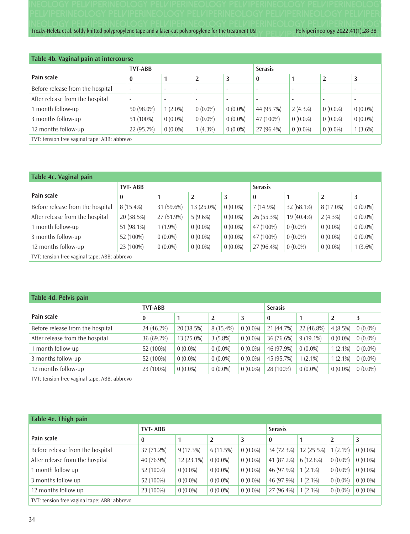| Table 4b. Vaginal pain at intercourse        |                          |                          |                          |                          |                          |                          |                          |                          |  |
|----------------------------------------------|--------------------------|--------------------------|--------------------------|--------------------------|--------------------------|--------------------------|--------------------------|--------------------------|--|
|                                              | <b>TVT-ABB</b>           |                          |                          |                          | <b>Serasis</b>           |                          |                          |                          |  |
| Pain scale                                   | $\bf{0}$                 | 1                        | 2                        | 3                        | 0                        | 1                        | 2                        | 3                        |  |
| Before release from the hospital             | $\overline{\phantom{a}}$ | $\overline{\phantom{a}}$ | $\overline{\phantom{a}}$ |                          | $\overline{\phantom{0}}$ |                          | $\overline{\phantom{a}}$ | $\overline{\phantom{a}}$ |  |
| After release from the hospital              | $\overline{\phantom{a}}$ |                          | $\overline{\phantom{a}}$ | $\overline{\phantom{a}}$ | $\overline{\phantom{0}}$ | $\overline{\phantom{a}}$ | $\overline{\phantom{a}}$ | $\overline{\phantom{a}}$ |  |
| 1 month follow-up                            | 50 (98.0%)               | $1(2.0\%)$               | $0(0.0\%)$               | $0(0.0\%)$               | 44 (95.7%)               | 2(4.3%)                  | $0(0.0\%)$               | $0(0.0\%)$               |  |
| 3 months follow-up                           | 51 (100%)                | $0(0.0\%)$               | $0(0.0\%)$               | $0(0.0\%)$               | 47 (100%)                | $0(0.0\%)$               | $0(0.0\%)$               | $0(0.0\%)$               |  |
| 12 months follow-up                          | 22 (95.7%)               | $0(0.0\%)$               | $1(4.3\%)$               | $0(0.0\%)$               | 27 (96.4%)               | $0(0.0\%)$               | $0(0.0\%)$               | $1(3.6\%)$               |  |
| TVT: tension free vaginal tape; ABB: abbrevo |                          |                          |                          |                          |                          |                          |                          |                          |  |

| Table 4c. Vaginal pain                       |                |            |            |            |                |            |                |            |  |
|----------------------------------------------|----------------|------------|------------|------------|----------------|------------|----------------|------------|--|
|                                              | <b>TVT-ABB</b> |            |            |            | <b>Serasis</b> |            |                |            |  |
| Pain scale                                   | $\bf{0}$       |            |            | 3          | $\bf{0}$       |            | $\overline{2}$ | 3          |  |
| Before release from the hospital             | $8(15.4\%)$    | 31 (59.6%) | 13 (25.0%) | $0(0.0\%)$ | $7(14.9\%)$    | 32 (68.1%) | 8 (17.0%)      | $0(0.0\%)$ |  |
| After release from the hospital              | 20 (38.5%)     | 27 (51.9%) | $5(9.6\%)$ | $0(0.0\%)$ | 26 (55.3%)     | 19 (40.4%) | $2(4.3\%)$     | $0(0.0\%)$ |  |
| 1 month follow-up                            | 51 (98.1%)     | $1(1.9\%)$ | $0(0.0\%)$ | $0(0.0\%)$ | 47 (100%)      | $0(0.0\%)$ | $0(0.0\%)$     | $0(0.0\%)$ |  |
| 3 months follow-up                           | 52 (100%)      | $0(0.0\%)$ | $0(0.0\%)$ | $0(0.0\%)$ | 47 (100%)      | $0(0.0\%)$ | $0(0.0\%)$     | $0(0.0\%)$ |  |
| 12 months follow-up                          | 23 (100%)      | $0(0.0\%)$ | $0(0.0\%)$ | $0(0.0\%)$ | 27 (96.4%)     | $0(0.0\%)$ | $0(0.0\%)$     | $1(3.6\%)$ |  |
| TVT: tension free vaginal tape; ABB: abbrevo |                |            |            |            |                |            |                |            |  |

| Table 4d. Pelvis pain                        |                |            |            |                |            |             |                |            |  |  |
|----------------------------------------------|----------------|------------|------------|----------------|------------|-------------|----------------|------------|--|--|
|                                              | <b>TVT-ABB</b> |            |            | <b>Serasis</b> |            |             |                |            |  |  |
| Pain scale                                   | $\bf{0}$       |            | 2          | 3              | $\bf{0}$   |             | $\overline{2}$ | 3          |  |  |
| Before release from the hospital             | 24 (46.2%)     | 20 (38.5%) | 8 (15.4%)  | $0(0.0\%)$     | 21 (44.7%) | 22 (46.8%)  | $4(8.5\%)$     | $0(0.0\%)$ |  |  |
| After release from the hospital              | 36 (69.2%)     | 13 (25.0%) | $3(5.8\%)$ | $0(0.0\%)$     | 36 (76.6%) | $9(19.1\%)$ | $0(0.0\%)$     | $0(0.0\%)$ |  |  |
| 1 month follow-up                            | 52 (100%)      | $0(0.0\%)$ | $0(0.0\%)$ | $0(0.0\%)$     | 46 (97.9%) | $0(0.0\%)$  | $1(2.1\%)$     | $0(0.0\%)$ |  |  |
| 3 months follow-up                           | 52 (100%)      | $0(0.0\%)$ | $0(0.0\%)$ | $0(0.0\%)$     | 45 (95.7%) | $1(2.1\%)$  | $1(2.1\%)$     | $0(0.0\%)$ |  |  |
| 12 months follow-up                          | 23 (100%)      | $0(0.0\%)$ | $0(0.0\%)$ | $0(0.0\%)$     | 28 (100%)  | $0(0.0\%)$  | $0(0.0\%)$     | $0(0.0\%)$ |  |  |
| TVT: tension free vaginal tape; ABB: abbrevo |                |            |            |                |            |             |                |            |  |  |

| Table 4e. Thigh pain                         |                |              |                |            |            |            |                |            |  |
|----------------------------------------------|----------------|--------------|----------------|------------|------------|------------|----------------|------------|--|
|                                              | <b>TVT-ABB</b> |              | <b>Serasis</b> |            |            |            |                |            |  |
| Pain scale                                   | $\bf{0}$       | 1            | $\overline{2}$ | 3          | $\bf{0}$   |            | $\overline{2}$ | 3          |  |
| Before release from the hospital             | 37 (71.2%)     | 9(17.3%)     | 6(11.5%)       | $0(0.0\%)$ | 34 (72.3%) | 12(25.5%)  | $1(2.1\%)$     | $0(0.0\%)$ |  |
| After release from the hospital              | 40 (76.9%)     | $12(23.1\%)$ | $0(0.0\%)$     | $0(0.0\%)$ | 41 (87.2%) | 6(12.8%)   | $0(0.0\%)$     | $0(0.0\%)$ |  |
| I month follow up                            | 52 (100%)      | $0(0.0\%)$   | $0(0.0\%)$     | $0(0.0\%)$ | 46 (97.9%) | $1(2.1\%)$ | $0(0.0\%)$     | $0(0.0\%)$ |  |
| 3 months follow up                           | 52 (100%)      | $0(0.0\%)$   | $0(0.0\%)$     | $0(0.0\%)$ | 46 (97.9%) | $1(2.1\%)$ | $0(0.0\%)$     | $0(0.0\%)$ |  |
| 12 months follow up                          | 23 (100%)      | $0(0.0\%)$   | $0(0.0\%)$     | $0(0.0\%)$ | 27 (96.4%) | $1(2.1\%)$ | $0(0.0\%)$     | $0(0.0\%)$ |  |
| TVT: tension free vaginal tape; ABB: abbrevo |                |              |                |            |            |            |                |            |  |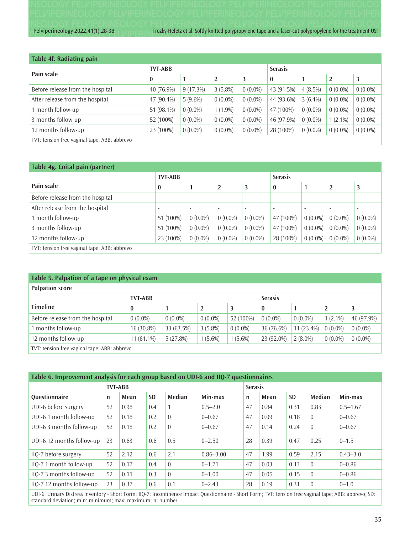Pelviperineology 2022;41(1):28-38 Trozky-Hefetz et al. Softly knitted polypropylene tape and a laser-cut polypropylene for the treatment USI

| <b>Table 4f. Radiating pain</b>              |                |            |            |            |                |            |            |            |  |  |
|----------------------------------------------|----------------|------------|------------|------------|----------------|------------|------------|------------|--|--|
|                                              | <b>TVT-ABB</b> |            |            |            | <b>Serasis</b> |            |            |            |  |  |
| Pain scale                                   | $\bf{0}$       |            | 2          | 3          | 0              |            | 2          | 3          |  |  |
| Before release from the hospital             | 40 (76.9%)     | 9(17.3%)   | $3(5.8\%)$ | $0(0.0\%)$ | 43 (91.5%)     | $4(8.5\%)$ | $0(0.0\%)$ | $0(0.0\%)$ |  |  |
| After release from the hospital              | 47 (90.4%)     | $5(9.6\%)$ | $0(0.0\%)$ | $0(0.0\%)$ | 44 (93.6%)     | $3(6.4\%)$ | $0(0.0\%)$ | $0(0.0\%)$ |  |  |
| 1 month follow-up                            | 51 (98.1%)     | $0(0.0\%)$ | $1(1.9\%)$ | $0(0.0\%)$ | 47 (100%)      | $0(0.0\%)$ | $0(0.0\%)$ | $0(0.0\%)$ |  |  |
| 3 months follow-up                           | 52 (100%)      | $0(0.0\%)$ | $0(0.0\%)$ | $0(0.0\%)$ | 46 (97.9%)     | $0(0.0\%)$ | $1(2.1\%)$ | $0(0.0\%)$ |  |  |
| 12 months follow-up                          | 23 (100%)      | $0(0.0\%)$ | $0(0.0\%)$ | $0(0.0\%)$ | 28 (100%)      | $0(0.0\%)$ | $0(0.0\%)$ | $0(0.0\%)$ |  |  |
| TVT: tension free vaginal tape; ABB: abbrevo |                |            |            |            |                |            |            |            |  |  |

| Table 4g. Coital pain (partner)              |                          |                          |                          |                          |                          |                          |                          |                          |  |  |
|----------------------------------------------|--------------------------|--------------------------|--------------------------|--------------------------|--------------------------|--------------------------|--------------------------|--------------------------|--|--|
|                                              | <b>TVT-ABB</b>           |                          |                          |                          | <b>Serasis</b>           |                          |                          |                          |  |  |
| Pain scale                                   | $\bf{0}$                 | 1                        | 2                        | 3                        | $\bf{0}$                 |                          | $\overline{2}$           | 3                        |  |  |
| Before release from the hospital             | $\overline{\phantom{a}}$ | $\overline{\phantom{a}}$ | $\overline{\phantom{a}}$ | $\overline{\phantom{a}}$ |                          | $\overline{\phantom{a}}$ | $\overline{\phantom{a}}$ |                          |  |  |
| After release from the hospital              | $\overline{\phantom{a}}$ | $\overline{\phantom{a}}$ | $\overline{\phantom{a}}$ | $\overline{\phantom{a}}$ | $\overline{\phantom{a}}$ | $\overline{\phantom{a}}$ | $\overline{\phantom{0}}$ | $\overline{\phantom{a}}$ |  |  |
| 1 month follow-up                            | 51 (100%)                | $0(0.0\%)$               | $0(0.0\%)$               | $0(0.0\%)$               | 47 (100%)                | $0(0.0\%)$               | $0(0.0\%)$               | $0(0.0\%)$               |  |  |
| 3 months follow-up                           | 51 (100%)                | $0(0.0\%)$               | $0(0.0\%)$               | $0(0.0\%)$               | 47 (100%)                | $0(0.0\%)$               | $0(0.0\%)$               | $0(0.0\%)$               |  |  |
| 12 months follow-up                          | 23 (100%)                | $0(0.0\%)$               | $0(0.0\%)$               | $0(0.0\%)$               | 28 (100%)                | $0(0.0\%)$               | $0(0.0\%)$               | $0(0.0\%)$               |  |  |
| TVT: tension free vaginal tape; ABB: abbrevo |                          |                          |                          |                          |                          |                          |                          |                          |  |  |

## **Table 5. Palpation of a tape on physical exam**

| <b>Palpation score</b>                       |                |            |            |                |            |              |            |            |  |
|----------------------------------------------|----------------|------------|------------|----------------|------------|--------------|------------|------------|--|
|                                              | <b>TVT-ABB</b> |            |            | <b>Serasis</b> |            |              |            |            |  |
| <b>Timeline</b>                              | $\bf{0}$       |            |            |                | $\bf{0}$   |              |            |            |  |
| Before release from the hospital             | $0(0.0\%)$     | $0(0.0\%)$ | $0(0.0\%)$ | 52 (100%)      | $0(0.0\%)$ | $0(0.0\%)$   | $1(2.1\%)$ | 46 (97.9%) |  |
| 1 months follow-up                           | 16 (30.8%)     | 33 (63.5%) | $3(5.8\%)$ | $0(0.0\%)$     | 36 (76.6%) | $11(23.4\%)$ | $0(0.0\%)$ | $0(0.0\%)$ |  |
| 12 months follow-up                          | $11(61.1\%)$   | 5(27.8%)   | $1(5.6\%)$ | $1(5.6\%)$     | 23 (92.0%) | $2(8.0\%)$   | $0(0.0\%)$ | $0(0.0\%)$ |  |
| TVT: tension free vaginal tape; ABB: abbrevo |                |            |            |                |            |              |            |            |  |

| Table 6. Improvement analysis for each group based on UDI-6 and IIQ-7 questionnaires |    |                |           |                |               |    |      |                |                |              |  |  |
|--------------------------------------------------------------------------------------|----|----------------|-----------|----------------|---------------|----|------|----------------|----------------|--------------|--|--|
|                                                                                      |    | <b>TVT-ABB</b> |           |                |               |    |      | <b>Serasis</b> |                |              |  |  |
| Questionnaire                                                                        | n  | Mean           | <b>SD</b> | Median         | Min-max       | n  | Mean | <b>SD</b>      | Median         | Min-max      |  |  |
| UDI-6 before surgery                                                                 | 52 | 0.98           | 0.4       |                | $0.5 - 2.0$   | 47 | 0.84 | 0.31           | 0.83           | $0.5 - 1.67$ |  |  |
| UDI-6 1 month follow-up                                                              | 52 | 0.18           | 0.2       | $\Omega$       | $0 - 0.67$    | 47 | 0.09 | 0.18           | $\overline{0}$ | $0 - 0.67$   |  |  |
| UDI-6 3 months follow-up                                                             | 52 | 0.18           | 0.2       | $\overline{0}$ | $0 - 0.67$    | 47 | 0.14 | 0.24           | $\overline{0}$ | $0 - 0.67$   |  |  |
| UDI-6 12 months follow-up                                                            | 23 | 0.63           | 0.6       | 0.5            | $0 - 2.50$    | 28 | 0.39 | 0.47           | 0.25           | $0 - 1.5$    |  |  |
| IIQ-7 before surgery                                                                 | 52 | 2.12           | 0.6       | 2.1            | $0.86 - 3.00$ | 47 | 1.99 | 0.59           | 2.15           | $0.43 - 3.0$ |  |  |
| IIQ-7 1 month follow-up                                                              | 52 | 0.17           | 0.4       | $\Omega$       | $0 - 1.71$    | 47 | 0.03 | 0.13           | $\Omega$       | $0 - 0.86$   |  |  |
| IIQ-7 3 months follow-up                                                             | 52 | 0.11           | 0.3       | $\Omega$       | $0 - 1.00$    | 47 | 0.05 | 0.15           | $\Omega$       | $0 - 0.86$   |  |  |
| IIQ-7 12 months follow-up                                                            | 23 | 0.37           | 0.6       | 0.1            | $0 - 2.43$    | 28 | 0.19 | 0.31           | $\overline{0}$ | $0 - 1.0$    |  |  |
|                                                                                      |    |                |           |                |               |    |      |                |                |              |  |  |

UDI-6: Urinary Distress Inventory - Short Form; IIQ-7: Incontinence Impact Questionnaire - Short Form; TVT: tension free vaginal tape; ABB: abbrevo; SD: standard deviation; min: minimum; max: maximum; n: number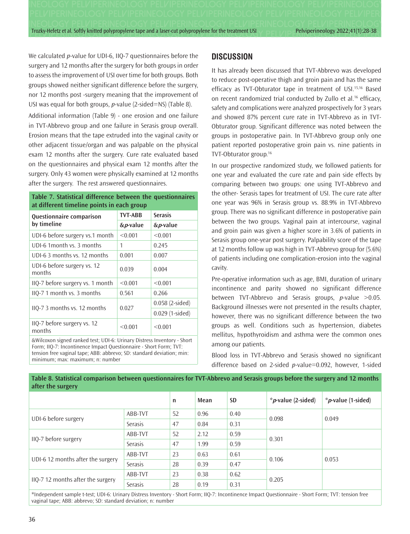We calculated *p*-value for UDI-6, IIQ-7 questionnaires before the surgery and 12 months after the surgery for both groups in order to assess the improvement of USI over time for both groups. Both groups showed neither significant difference before the surgery, nor 12 months post -surgery meaning that the improvement of USI was equal for both groups, *p*-value (2-sided=NS) (Table 8).

Additional information (Table 9) - one erosion and one failure in TVT-Abbrevo group and one failure in Serasis group overall. Erosion means that the tape extruded into the vaginal cavity or other adjacent tissue/organ and was palpable on the physical exam 12 months after the surgery. Cure rate evaluated based on the questionnaires and physical exam 12 months after the surgery. Only 43 women were physically examined at 12 months after the surgery. The rest answered questionnaires.

**Table 7. Statistical difference between the questionnaires**

| at different timeline points in each group                               |                |                 |  |  |  |  |
|--------------------------------------------------------------------------|----------------|-----------------|--|--|--|--|
| Questionnaire comparison                                                 | <b>TVT-ABB</b> | <b>Serasis</b>  |  |  |  |  |
| by timeline                                                              | &p-value       | &p-value        |  |  |  |  |
| UDI-6 before surgery vs.1 month                                          | < 0.001        | < 0.001         |  |  |  |  |
| UDI-6 1 month vs. 3 months                                               | 1              | 0.245           |  |  |  |  |
| UDI-6.3 months vs. 12 months                                             | 0.001          | 0.007           |  |  |  |  |
| UDI-6 before surgery vs. 12<br>months                                    | 0.039          | 0.004           |  |  |  |  |
| IIQ-7 before surgery vs. 1 month                                         | < 0.001        | < 0.001         |  |  |  |  |
| IIO-7 1 month vs. 3 months                                               | 0.561          | 0.266           |  |  |  |  |
|                                                                          | 0.027          | 0.058 (2-sided) |  |  |  |  |
| IIQ-7 3 months vs. 12 months                                             |                | 0.029 (1-sided) |  |  |  |  |
| IIQ-7 before surgery vs. 12<br>months                                    | < 0.001        | < 0.001         |  |  |  |  |
| & Wilcoxon signed ranked test; UDI-6: Urinary Distress Inventory - Short |                |                 |  |  |  |  |

&Wilcoxon signed ranked test; UDI-6: Urinary Distress Inventory - Short Form; IIQ-7: Incontinence Impact Questionnaire - Short Form; TVT: tension free vaginal tape; ABB: abbrevo; SD: standard deviation; min: minimum; max: maximum; n: number

# **DISCUSSION**

It has already been discussed that TVT-Abbrevo was developed to reduce post-operative thigh and groin pain and has the same efficacy as TVT-Obturator tape in treatment of USI.<sup>15,16</sup> Based on recent randomized trial conducted by Zullo et al.<sup>16</sup> efficacy, safety and complications were analyzed prospectively for 3 years and showed 87% percent cure rate in TVT-Abbrevo as in TVT-Obturator group. Significant difference was noted between the groups in postoperative pain. In TVT-Abbrevo group only one patient reported postoperative groin pain vs. nine patients in TVT-Obturator group.16

In our prospective randomized study, we followed patients for one year and evaluated the cure rate and pain side effects by comparing between two groups: one using TVT-Abbrevo and the other- Serasis tapes for treatment of USI. The cure rate after one year was 96% in Serasis group vs. 88.9% in TVT-Abbrevo group. There was no significant difference in postoperative pain between the two groups. Vaginal pain at intercourse, vaginal and groin pain was given a higher score in 3.6% of patients in Serasis group one-year post surgery. Palpability score of the tape at 12 months follow up was high in TVT-Abbrevo group for (5.6%) of patients including one complication-erosion into the vaginal cavity.

Pre-operative information such as age, BMI, duration of urinary incontinence and parity showed no significant difference between TVT-Abbrevo and Serasis groups, *p*-value >0.05. Background illnesses were not presented in the results chapter, however, there was no significant difference between the two groups as well. Conditions such as hypertension, diabetes mellitus, hypothyroidism and asthma were the common ones among our patients.

Blood loss in TVT-Abbrevo and Serasis showed no significant difference based on 2-sided *p*-value=0.092, however, 1-sided

| after the surgery                                                                                                     |                |    |      |           |                        |                        |  |
|-----------------------------------------------------------------------------------------------------------------------|----------------|----|------|-----------|------------------------|------------------------|--|
|                                                                                                                       |                | n  | Mean | <b>SD</b> | * $p$ -value (2-sided) | $*_p$ -value (1-sided) |  |
| UDI-6 before surgery                                                                                                  | ABB-TVT        | 52 | 0.96 | 0.40      | 0.098                  | 0.049                  |  |
|                                                                                                                       | Serasis        | 47 | 0.84 | 0.31      |                        |                        |  |
| IIQ-7 before surgery                                                                                                  | ABB-TVT        | 52 | 2.12 | 0.59      | 0.301                  |                        |  |
|                                                                                                                       | <b>Serasis</b> | 47 | 1.99 | 0.59      |                        |                        |  |
| UDI-6 12 months after the surgery                                                                                     | ABB-TVT        | 23 | 0.63 | 0.61      | 0.106                  | 0.053                  |  |
|                                                                                                                       | Serasis        | 28 | 0.39 | 0.47      |                        |                        |  |
| IIQ-7 12 months after the surgery                                                                                     | ABB-TVT        | 23 | 0.38 | 0.62      | 0.205                  |                        |  |
|                                                                                                                       | Serasis        | 28 | 0.19 | 0.31      |                        |                        |  |
| المتواطن والمستحيل والمستحيل والمنافس والمستحيل والمستحيل والمتحافظ والمستحيل والمستحيل والمستحيل والمستحيل والمستحيل |                |    |      |           |                        |                        |  |

Table 8. Statistical comparison between questionnaires for TVT-Abbrevo and Serasis groups before the surgery and 12 months

\*Independent sample t-test; UDI-6: Urinary Distress Inventory - Short Form; IIQ-7: Incontinence Impact Questionnaire - Short Form; TVT: tension free vaginal tape; ABB: abbrevo; SD: standard deviation; n: number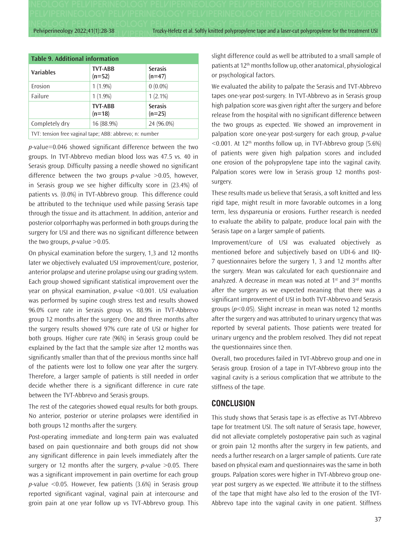Pelviperineology 2022;41(1):28-38 Trocky-Hefetz et al. Softly knitted polypropylene tape and a laser-cut polypropylene for the treatment USI

| <b>Table 9. Additional information</b>                  |                            |                            |  |  |  |
|---------------------------------------------------------|----------------------------|----------------------------|--|--|--|
| <b>Variables</b>                                        | <b>TVT-ABB</b><br>$(n=52)$ | <b>Serasis</b><br>$(n=47)$ |  |  |  |
| Erosion                                                 | $1(1.9\%)$                 | $0(0.0\%)$                 |  |  |  |
| Failure                                                 | $1(1.9\%)$                 | $1(2.1\%)$                 |  |  |  |
|                                                         | <b>TVT-ABB</b><br>$(n=18)$ | <b>Serasis</b><br>$(n=25)$ |  |  |  |
| Completely dry                                          | 16 (88.9%)                 | 24 (96.0%)                 |  |  |  |
| TVT: tension free vaginal tape; ABB: abbrevo; n: number |                            |                            |  |  |  |

*p*-value=0.046 showed significant difference between the two groups. In TVT-Abbrevo median blood loss was 47.5 vs. 40 in Serasis group. Difficulty passing a needle showed no significant difference between the two groups *p*-value >0.05, however, in Serasis group we see higher difficulty score in (23.4%) of patients vs. (0.0%) in TVT-Abbrevo group. This difference could be attributed to the technique used while passing Serasis tape through the tissue and its attachment. In addition, anterior and posterior colporrhaphy was performed in both groups during the surgery for USI and there was no significant difference between the two groups,  $p$ -value  $>0.05$ .

On physical examination before the surgery, 1,3 and 12 months later we objectively evaluated USI improvement/cure, posterior, anterior prolapse and uterine prolapse using our grading system. Each group showed significant statistical improvement over the year on physical examination, *p*-value <0.001. USI evaluation was performed by supine cough stress test and results showed 96.0% cure rate in Serasis group vs. 88.9% in TVT-Abbrevo group 12 months after the surgery. One and three months after the surgery results showed 97% cure rate of USI or higher for both groups. Higher cure rate (96%) in Serasis group could be explained by the fact that the sample size after 12 months was significantly smaller than that of the previous months since half of the patients were lost to follow one year after the surgery. Therefore, a larger sample of patients is still needed in order decide whether there is a significant difference in cure rate between the TVT-Abbrevo and Serasis groups.

The rest of the categories showed equal results for both groups. No anterior, posterior or uterine prolapses were identified in both groups 12 months after the surgery.

Post-operating immediate and long-term pain was evaluated based on pain questionnaire and both groups did not show any significant difference in pain levels immediately after the surgery or 12 months after the surgery, *p*-value >0.05. There was a significant improvement in pain overtime for each group *p*-value <0.05. However, few patients (3.6%) in Serasis group reported significant vaginal, vaginal pain at intercourse and groin pain at one year follow up vs TVT-Abbrevo group. This slight difference could as well be attributed to a small sample of patients at 12th months follow up, other anatomical, physiological or psychological factors.

We evaluated the ability to palpate the Serasis and TVT-Abbrevo tapes one-year post-surgery. In TVT-Abbrevo as in Serasis group high palpation score was given right after the surgery and before release from the hospital with no significant difference between the two groups as expected. We showed an improvement in palpation score one-year post-surgery for each group, *p*-value  $\leq$  0.001. At 12<sup>th</sup> months follow up, in TVT-Abbrevo group (5.6%) of patients were given high palpation scores and included one erosion of the polypropylene tape into the vaginal cavity. Palpation scores were low in Serasis group 12 months postsurgery.

These results made us believe that Serasis, a soft knitted and less rigid tape, might result in more favorable outcomes in a long term, less dyspareunia or erosions. Further research is needed to evaluate the ability to palpate, produce local pain with the Serasis tape on a larger sample of patients.

Improvement/cure of USI was evaluated objectively as mentioned before and subjectively based on UDI-6 and IIQ-7 questionnaires before the surgery 1, 3 and 12 months after the surgery. Mean was calculated for each questionnaire and analyzed. A decrease in mean was noted at  $1<sup>st</sup>$  and  $3<sup>rd</sup>$  months after the surgery as we expected meaning that there was a significant improvement of USI in both TVT-Abbrevo and Serasis groups (*p*<0.05). Slight increase in mean was noted 12 months after the surgery and was attributed to urinary urgency that was reported by several patients. Those patients were treated for urinary urgency and the problem resolved. They did not repeat the questionnaires since then.

Overall, two procedures failed in TVT-Abbrevo group and one in Serasis group. Erosion of a tape in TVT-Abbrevo group into the vaginal cavity is a serious complication that we attribute to the stiffness of the tape.

## **CONCLUSION**

This study shows that Serasis tape is as effective as TVT-Abbrevo tape for treatment USI. The soft nature of Serasis tape, however, did not alleviate completely postoperative pain such as vaginal or groin pain 12 months after the surgery in few patients, and needs a further research on a larger sample of patients. Cure rate based on physical exam and questionnaires was the same in both groups. Palpation scores were higher in TVT-Abbrevo group oneyear post surgery as we expected. We attribute it to the stiffness of the tape that might have also led to the erosion of the TVT-Abbrevo tape into the vaginal cavity in one patient. Stiffness